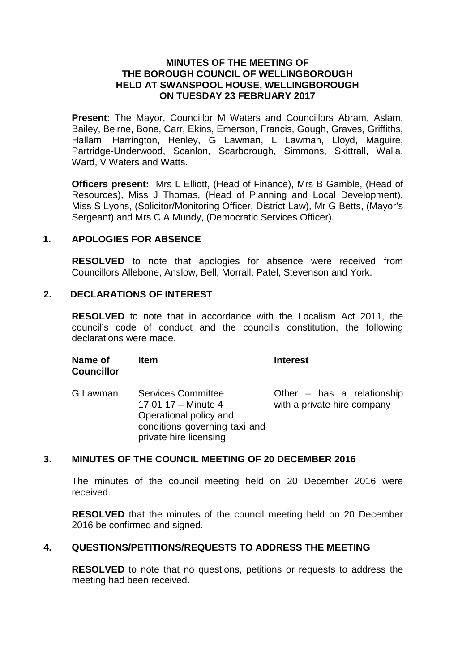#### **MINUTES OF THE MEETING OF THE BOROUGH COUNCIL OF WELLINGBOROUGH HELD AT SWANSPOOL HOUSE, WELLINGBOROUGH ON TUESDAY 23 FEBRUARY 2017**

**Present:** The Mayor, Councillor M Waters and Councillors Abram, Aslam, Bailey, Beirne, Bone, Carr, Ekins, Emerson, Francis, Gough, Graves, Griffiths, Hallam, Harrington, Henley, G Lawman, L Lawman, Lloyd, Maguire, Partridge-Underwood, Scanlon, Scarborough, Simmons, Skittrall, Walia, Ward, V Waters and Watts.

**Officers present:** Mrs L Elliott, (Head of Finance), Mrs B Gamble, (Head of Resources), Miss J Thomas, (Head of Planning and Local Development), Miss S Lyons, (Solicitor/Monitoring Officer, District Law), Mr G Betts, (Mayor's Sergeant) and Mrs C A Mundy, (Democratic Services Officer).

#### **1. APOLOGIES FOR ABSENCE**

**RESOLVED** to note that apologies for absence were received from Councillors Allebone, Anslow, Bell, Morrall, Patel, Stevenson and York.

#### **2. DECLARATIONS OF INTEREST**

**RESOLVED** to note that in accordance with the Localism Act 2011, the council's code of conduct and the council's constitution, the following declarations were made.

| Name of<br><b>Councillor</b> | <b>Item</b>                                                                                                                           | <b>Interest</b>                                             |
|------------------------------|---------------------------------------------------------------------------------------------------------------------------------------|-------------------------------------------------------------|
| G Lawman                     | <b>Services Committee</b><br>17 01 17 - Minute 4<br>Operational policy and<br>conditions governing taxi and<br>private hire licensing | Other $-$ has a relationship<br>with a private hire company |

### **3. MINUTES OF THE COUNCIL MEETING OF 20 DECEMBER 2016**

The minutes of the council meeting held on 20 December 2016 were received.

**RESOLVED** that the minutes of the council meeting held on 20 December 2016 be confirmed and signed.

# **4. QUESTIONS/PETITIONS/REQUESTS TO ADDRESS THE MEETING**

**RESOLVED** to note that no questions, petitions or requests to address the meeting had been received.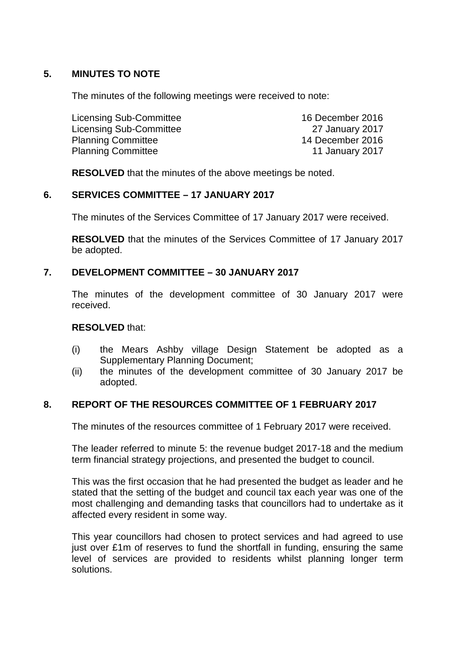# **5. MINUTES TO NOTE**

The minutes of the following meetings were received to note:

| 16 December 2016 |
|------------------|
| 27 January 2017  |
| 14 December 2016 |
| 11 January 2017  |
|                  |

**RESOLVED** that the minutes of the above meetings be noted.

#### **6. SERVICES COMMITTEE – 17 JANUARY 2017**

The minutes of the Services Committee of 17 January 2017 were received.

**RESOLVED** that the minutes of the Services Committee of 17 January 2017 be adopted.

# **7. DEVELOPMENT COMMITTEE – 30 JANUARY 2017**

The minutes of the development committee of 30 January 2017 were received.

#### **RESOLVED** that:

- (i) the Mears Ashby village Design Statement be adopted as a Supplementary Planning Document;
- (ii) the minutes of the development committee of 30 January 2017 be adopted.

# **8. REPORT OF THE RESOURCES COMMITTEE OF 1 FEBRUARY 2017**

The minutes of the resources committee of 1 February 2017 were received.

The leader referred to minute 5: the revenue budget 2017-18 and the medium term financial strategy projections, and presented the budget to council.

This was the first occasion that he had presented the budget as leader and he stated that the setting of the budget and council tax each year was one of the most challenging and demanding tasks that councillors had to undertake as it affected every resident in some way.

This year councillors had chosen to protect services and had agreed to use just over £1m of reserves to fund the shortfall in funding, ensuring the same level of services are provided to residents whilst planning longer term solutions.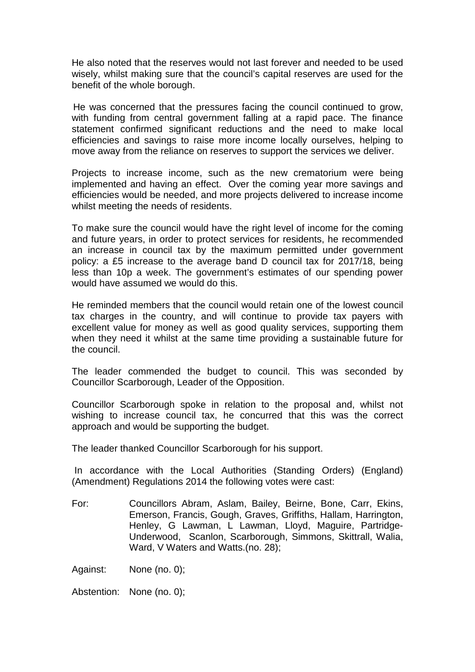He also noted that the reserves would not last forever and needed to be used wisely, whilst making sure that the council's capital reserves are used for the benefit of the whole borough.

 He was concerned that the pressures facing the council continued to grow, with funding from central government falling at a rapid pace. The finance statement confirmed significant reductions and the need to make local efficiencies and savings to raise more income locally ourselves, helping to move away from the reliance on reserves to support the services we deliver.

Projects to increase income, such as the new crematorium were being implemented and having an effect. Over the coming year more savings and efficiencies would be needed, and more projects delivered to increase income whilst meeting the needs of residents.

To make sure the council would have the right level of income for the coming and future years, in order to protect services for residents, he recommended an increase in council tax by the maximum permitted under government policy: a £5 increase to the average band D council tax for 2017/18, being less than 10p a week. The government's estimates of our spending power would have assumed we would do this.

He reminded members that the council would retain one of the lowest council tax charges in the country, and will continue to provide tax payers with excellent value for money as well as good quality services, supporting them when they need it whilst at the same time providing a sustainable future for the council.

The leader commended the budget to council. This was seconded by Councillor Scarborough, Leader of the Opposition.

Councillor Scarborough spoke in relation to the proposal and, whilst not wishing to increase council tax, he concurred that this was the correct approach and would be supporting the budget.

The leader thanked Councillor Scarborough for his support.

In accordance with the Local Authorities (Standing Orders) (England) (Amendment) Regulations 2014 the following votes were cast:

For: Councillors Abram, Aslam, Bailey, Beirne, Bone, Carr, Ekins, Emerson, Francis, Gough, Graves, Griffiths, Hallam, Harrington, Henley, G Lawman, L Lawman, Lloyd, Maguire, Partridge-Underwood, Scanlon, Scarborough, Simmons, Skittrall, Walia, Ward, V Waters and Watts.(no. 28);

Against: None (no. 0);

Abstention: None (no. 0);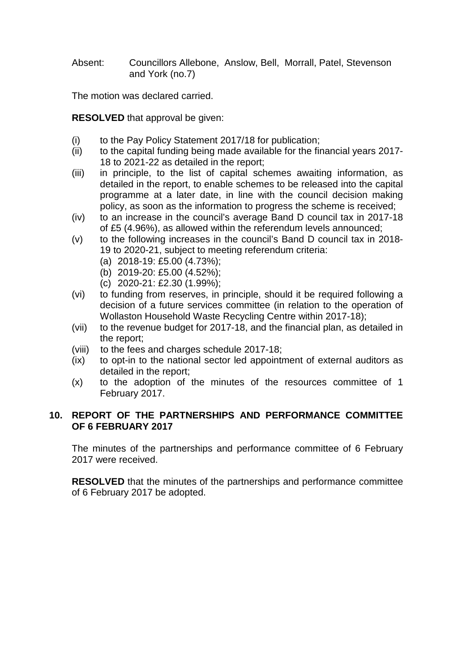Absent: Councillors Allebone, Anslow, Bell, Morrall, Patel, Stevenson and York (no.7)

The motion was declared carried.

**RESOLVED** that approval be given:

- (i) to the Pay Policy Statement 2017/18 for publication;
- (ii) to the capital funding being made available for the financial years 2017- 18 to 2021-22 as detailed in the report;
- (iii) in principle, to the list of capital schemes awaiting information, as detailed in the report, to enable schemes to be released into the capital programme at a later date, in line with the council decision making policy, as soon as the information to progress the scheme is received;
- (iv) to an increase in the council's average Band D council tax in 2017-18 of £5 (4.96%), as allowed within the referendum levels announced;
- (v) to the following increases in the council's Band D council tax in 2018- 19 to 2020-21, subject to meeting referendum criteria:
	- (a) 2018-19: £5.00 (4.73%);
	- (b) 2019-20: £5.00 (4.52%);
	- (c) 2020-21: £2.30 (1.99%);
- (vi) to funding from reserves, in principle, should it be required following a decision of a future services committee (in relation to the operation of Wollaston Household Waste Recycling Centre within 2017-18);
- (vii) to the revenue budget for 2017-18, and the financial plan, as detailed in the report;
- (viii) to the fees and charges schedule 2017-18;
- (ix) to opt-in to the national sector led appointment of external auditors as detailed in the report;
- (x) to the adoption of the minutes of the resources committee of 1 February 2017.

# **10. REPORT OF THE PARTNERSHIPS AND PERFORMANCE COMMITTEE OF 6 FEBRUARY 2017**

The minutes of the partnerships and performance committee of 6 February 2017 were received.

**RESOLVED** that the minutes of the partnerships and performance committee of 6 February 2017 be adopted.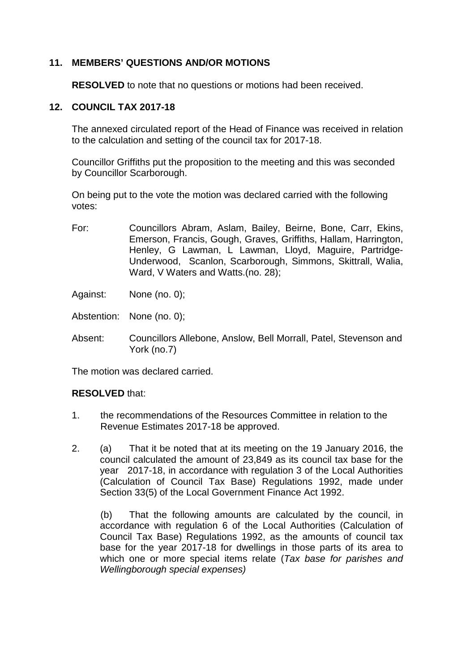# **11. MEMBERS' QUESTIONS AND/OR MOTIONS**

**RESOLVED** to note that no questions or motions had been received.

# **12. COUNCIL TAX 2017-18**

The annexed circulated report of the Head of Finance was received in relation to the calculation and setting of the council tax for 2017-18.

Councillor Griffiths put the proposition to the meeting and this was seconded by Councillor Scarborough.

On being put to the vote the motion was declared carried with the following votes:

- For: Councillors Abram, Aslam, Bailey, Beirne, Bone, Carr, Ekins, Emerson, Francis, Gough, Graves, Griffiths, Hallam, Harrington, Henley, G Lawman, L Lawman, Lloyd, Maguire, Partridge-Underwood, Scanlon, Scarborough, Simmons, Skittrall, Walia, Ward, V Waters and Watts.(no. 28);
- Against: None (no. 0);
- Abstention: None (no. 0);
- Absent: Councillors Allebone, Anslow, Bell Morrall, Patel, Stevenson and York (no.7)

The motion was declared carried.

# **RESOLVED** that:

- 1. the recommendations of the Resources Committee in relation to the Revenue Estimates 2017-18 be approved.
- 2. (a) That it be noted that at its meeting on the 19 January 2016, the council calculated the amount of 23,849 as its council tax base for the year 2017-18, in accordance with regulation 3 of the Local Authorities (Calculation of Council Tax Base) Regulations 1992, made under Section 33(5) of the Local Government Finance Act 1992.

(b) That the following amounts are calculated by the council, in accordance with regulation 6 of the Local Authorities (Calculation of Council Tax Base) Regulations 1992, as the amounts of council tax base for the year 2017-18 for dwellings in those parts of its area to which one or more special items relate (*Tax base for parishes and Wellingborough special expenses)*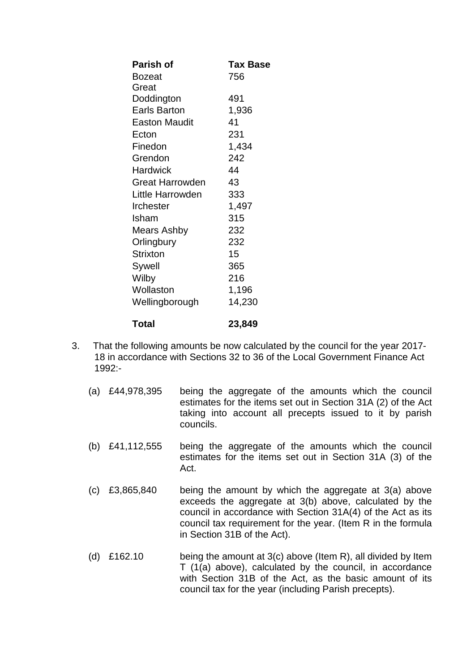| <b>Parish of</b>       | Tax Base |
|------------------------|----------|
| <b>Bozeat</b>          | 756      |
| Great                  |          |
| Doddington             | 491      |
| <b>Earls Barton</b>    | 1,936    |
| <b>Easton Maudit</b>   | 41       |
| Ecton                  | 231      |
| Finedon                | 1,434    |
| Grendon                | 242      |
| Hardwick               | 44       |
| <b>Great Harrowden</b> | 43       |
| Little Harrowden       | 333      |
| <b>Irchester</b>       | 1,497    |
| Isham                  | 315      |
| <b>Mears Ashby</b>     | 232      |
| Orlingbury             | 232      |
| <b>Strixton</b>        | 15       |
| Sywell                 | 365      |
| Wilby                  | 216      |
| Wollaston              | 1,196    |
| Wellingborough         | 14,230   |
| Total                  | 23,849   |

- 3. That the following amounts be now calculated by the council for the year 2017- 18 in accordance with Sections 32 to 36 of the Local Government Finance Act 1992:-
	- (a) £44,978,395 being the aggregate of the amounts which the council estimates for the items set out in Section 31A (2) of the Act taking into account all precepts issued to it by parish councils.
	- (b) £41,112,555 being the aggregate of the amounts which the council estimates for the items set out in Section 31A (3) of the Act.
	- (c) £3,865,840 being the amount by which the aggregate at 3(a) above exceeds the aggregate at 3(b) above, calculated by the council in accordance with Section 31A(4) of the Act as its council tax requirement for the year. (Item R in the formula in Section 31B of the Act).
	- (d) £162.10 being the amount at 3(c) above (Item R), all divided by Item T (1(a) above), calculated by the council, in accordance with Section 31B of the Act, as the basic amount of its council tax for the year (including Parish precepts).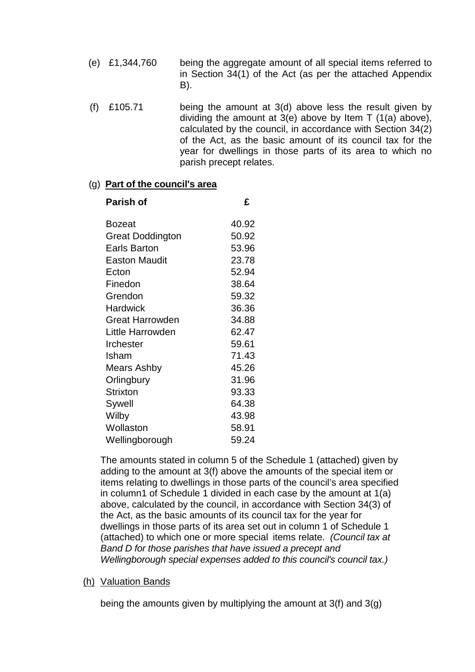- (e) £1,344,760 being the aggregate amount of all special items referred to in Section 34(1) of the Act (as per the attached Appendix B).
- (f)  $£105.71$  being the amount at 3(d) above less the result given by dividing the amount at 3(e) above by Item T (1(a) above), calculated by the council, in accordance with Section 34(2) of the Act, as the basic amount of its council tax for the year for dwellings in those parts of its area to which no parish precept relates.

#### (g) **Part of the council's area**

| Parish of            | £     |
|----------------------|-------|
| Bozeat               | 40.92 |
| Great Doddington     | 50.92 |
| <b>Earls Barton</b>  | 53.96 |
| <b>Easton Maudit</b> | 23.78 |
| Ecton                | 52.94 |
| Finedon              | 38.64 |
| Grendon              | 59.32 |
| Hardwick             | 36.36 |
| Great Harrowden      | 34.88 |
| Little Harrowden     | 62.47 |
| <b>Irchester</b>     | 59.61 |
| Isham                | 71.43 |
| Mears Ashby          | 45.26 |
| Orlingbury           | 31.96 |
| <b>Strixton</b>      | 93.33 |
| Sywell               | 64.38 |
| Wilby                | 43.98 |
| Wollaston            | 58.91 |
| Wellingborough       | 59.24 |

The amounts stated in column 5 of the Schedule 1 (attached) given by adding to the amount at 3(f) above the amounts of the special item or items relating to dwellings in those parts of the council's area specified in column1 of Schedule 1 divided in each case by the amount at 1(a) above, calculated by the council, in accordance with Section 34(3) of the Act, as the basic amounts of its council tax for the year for dwellings in those parts of its area set out in column 1 of Schedule 1 (attached) to which one or more special items relate. *(Council tax at Band D for those parishes that have issued a precept and Wellingborough special expenses added to this council's council tax.)*

# (h) Valuation Bands

being the amounts given by multiplying the amount at 3(f) and 3(g)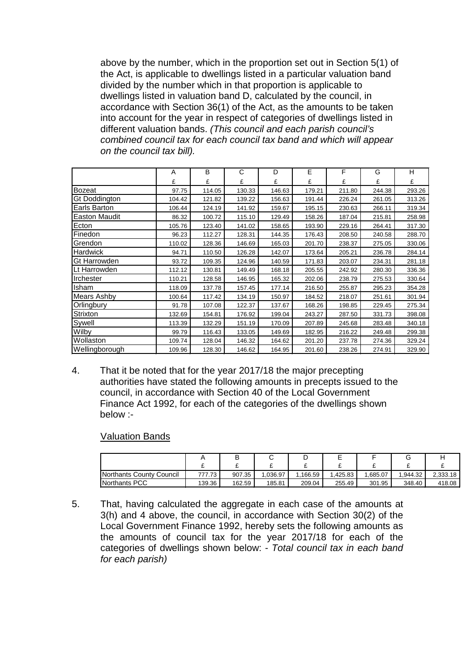above by the number, which in the proportion set out in Section 5(1) of the Act, is applicable to dwellings listed in a particular valuation band divided by the number which in that proportion is applicable to dwellings listed in valuation band D, calculated by the council, in accordance with Section 36(1) of the Act, as the amounts to be taken into account for the year in respect of categories of dwellings listed in different valuation bands. *(This council and each parish council's combined council tax for each council tax band and which will appear on the council tax bill).*

|                      | A      | B      | C      | D      | E      | F      | G      | н      |
|----------------------|--------|--------|--------|--------|--------|--------|--------|--------|
|                      | £      | £      | £      | £      | £      | £      | £      | £      |
| Bozeat               | 97.75  | 114.05 | 130.33 | 146.63 | 179.21 | 211.80 | 244.38 | 293.26 |
| <b>Gt Doddington</b> | 104.42 | 121.82 | 139.22 | 156.63 | 191.44 | 226.24 | 261.05 | 313.26 |
| Earls Barton         | 106.44 | 124.19 | 141.92 | 159.67 | 195.15 | 230.63 | 266.11 | 319.34 |
| <b>Easton Maudit</b> | 86.32  | 100.72 | 115.10 | 129.49 | 158.26 | 187.04 | 215.81 | 258.98 |
| Ecton                | 105.76 | 123.40 | 141.02 | 158.65 | 193.90 | 229.16 | 264.41 | 317.30 |
| Finedon              | 96.23  | 112.27 | 128.31 | 144.35 | 176.43 | 208.50 | 240.58 | 288.70 |
| Grendon              | 110.02 | 128.36 | 146.69 | 165.03 | 201.70 | 238.37 | 275.05 | 330.06 |
| Hardwick             | 94.71  | 110.50 | 126.28 | 142.07 | 173.64 | 205.21 | 236.78 | 284.14 |
| Gt Harrowden         | 93.72  | 109.35 | 124.96 | 140.59 | 171.83 | 203.07 | 234.31 | 281.18 |
| Lt Harrowden         | 112.12 | 130.81 | 149.49 | 168.18 | 205.55 | 242.92 | 280.30 | 336.36 |
| Irchester            | 110.21 | 128.58 | 146.95 | 165.32 | 202.06 | 238.79 | 275.53 | 330.64 |
| Isham                | 118.09 | 137.78 | 157.45 | 177.14 | 216.50 | 255.87 | 295.23 | 354.28 |
| Mears Ashby          | 100.64 | 117.42 | 134.19 | 150.97 | 184.52 | 218.07 | 251.61 | 301.94 |
| Orlingbury           | 91.78  | 107.08 | 122.37 | 137.67 | 168.26 | 198.85 | 229.45 | 275.34 |
| Strixton             | 132.69 | 154.81 | 176.92 | 199.04 | 243.27 | 287.50 | 331.73 | 398.08 |
| Sywell               | 113.39 | 132.29 | 151.19 | 170.09 | 207.89 | 245.68 | 283.48 | 340.18 |
| Wilby                | 99.79  | 116.43 | 133.05 | 149.69 | 182.95 | 216.22 | 249.48 | 299.38 |
| Wollaston            | 109.74 | 128.04 | 146.32 | 164.62 | 201.20 | 237.78 | 274.36 | 329.24 |
| Wellingborough       | 109.96 | 128.30 | 146.62 | 164.95 | 201.60 | 238.26 | 274.91 | 329.90 |

4. That it be noted that for the year 2017/18 the major precepting authorities have stated the following amounts in precepts issued to the council, in accordance with Section 40 of the Local Government Finance Act 1992, for each of the categories of the dwellings shown below :-

#### Valuation Bands

|                          |        | ▫      |         | ╺       | −       |         |         |          |
|--------------------------|--------|--------|---------|---------|---------|---------|---------|----------|
|                          |        | -      |         |         |         |         |         |          |
| Northants County Council | 777.73 | 907.35 | .036.97 | .166.59 | .425.83 | .685.07 | .944.32 | 2.333.18 |
| <b>INorthants PCC</b>    | 139.36 | 162.59 | 185.81  | 209.04  | 255.49  | 301.95  | 348.40  | 418.08   |

5. That, having calculated the aggregate in each case of the amounts at 3(h) and 4 above, the council, in accordance with Section 30(2) of the Local Government Finance 1992, hereby sets the following amounts as the amounts of council tax for the year 2017/18 for each of the categories of dwellings shown below: - *Total council tax in each band for each parish)*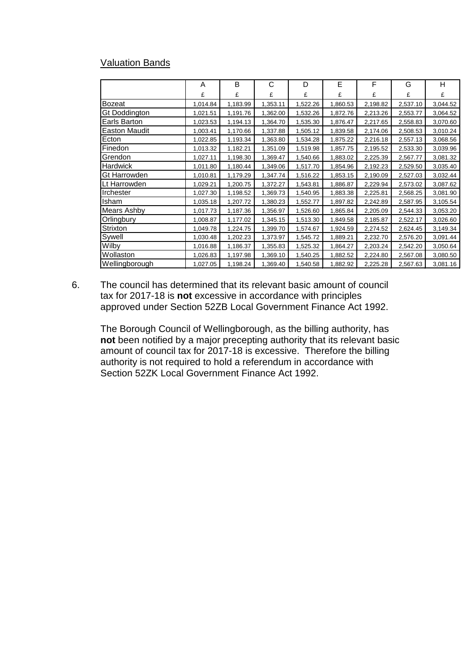# Valuation Bands

|                    | A        | B        | C        | D        | E        | F        | G        | н        |
|--------------------|----------|----------|----------|----------|----------|----------|----------|----------|
|                    | £        | £        | £        | £        | £        | £        | £        | £        |
| <b>Bozeat</b>      | 1,014.84 | 1,183.99 | 1,353.11 | 1,522.26 | 1,860.53 | 2,198.82 | 2,537.10 | 3,044.52 |
| Gt Doddington      | 1,021.51 | 1,191.76 | 1,362.00 | 1,532.26 | 1,872.76 | 2,213.26 | 2,553.77 | 3,064.52 |
| Earls Barton       | 1,023.53 | 1,194.13 | 1,364.70 | 1,535.30 | 1,876.47 | 2,217.65 | 2,558.83 | 3,070.60 |
| Easton Maudit      | 1,003.41 | 1,170.66 | 1,337.88 | 1,505.12 | 1,839.58 | 2,174.06 | 2,508.53 | 3,010.24 |
| Ecton              | 1,022.85 | 1,193.34 | 1,363.80 | 1,534.28 | 1,875.22 | 2,216.18 | 2,557.13 | 3,068.56 |
| Finedon            | 1,013.32 | 1,182.21 | 1,351.09 | 1,519.98 | 1,857.75 | 2,195.52 | 2,533.30 | 3,039.96 |
| Grendon            | 1,027.11 | 1,198.30 | 1,369.47 | 1,540.66 | 1,883.02 | 2,225.39 | 2,567.77 | 3,081.32 |
| <b>Hardwick</b>    | 1,011.80 | 1,180.44 | 1,349.06 | 1,517.70 | 1,854.96 | 2,192.23 | 2,529.50 | 3,035.40 |
| Gt Harrowden       | 1,010.81 | 1,179.29 | 1,347.74 | 1,516.22 | 1,853.15 | 2,190.09 | 2,527.03 | 3,032.44 |
| ILt Harrowden      | 1,029.21 | 1,200.75 | 1,372.27 | 1,543.81 | 1,886.87 | 2,229.94 | 2,573.02 | 3,087.62 |
| Irchester          | 1,027.30 | 1,198.52 | 1,369.73 | 1,540.95 | 1,883.38 | 2,225.81 | 2,568.25 | 3,081.90 |
| Isham              | 1,035.18 | 1,207.72 | 1,380.23 | 1,552.77 | 1,897.82 | 2,242.89 | 2,587.95 | 3,105.54 |
| <b>Mears Ashby</b> | 1,017.73 | 1,187.36 | 1,356.97 | 1,526.60 | 1,865.84 | 2,205.09 | 2,544.33 | 3,053.20 |
| Orlingbury         | 1,008.87 | 1,177.02 | 1,345.15 | 1,513.30 | 1,849.58 | 2,185.87 | 2,522.17 | 3,026.60 |
| Strixton           | 1,049.78 | 1,224.75 | 1,399.70 | 1,574.67 | 1,924.59 | 2,274.52 | 2,624.45 | 3,149.34 |
| Sywell             | 1,030.48 | 1,202.23 | 1,373.97 | 1,545.72 | 1,889.21 | 2,232.70 | 2,576.20 | 3,091.44 |
| Wilby              | 1,016.88 | 1,186.37 | 1,355.83 | 1,525.32 | 1,864.27 | 2,203.24 | 2,542.20 | 3,050.64 |
| Wollaston          | 1,026.83 | 1,197.98 | 1,369.10 | 1,540.25 | 1,882.52 | 2,224.80 | 2,567.08 | 3,080.50 |
| Wellingborough     | 1,027.05 | 1,198.24 | 1,369.40 | 1,540.58 | 1,882.92 | 2,225.28 | 2,567.63 | 3,081.16 |

6. The council has determined that its relevant basic amount of council tax for 2017-18 is **not** excessive in accordance with principles approved under Section 52ZB Local Government Finance Act 1992.

The Borough Council of Wellingborough, as the billing authority, has **not** been notified by a major precepting authority that its relevant basic amount of council tax for 2017-18 is excessive. Therefore the billing authority is not required to hold a referendum in accordance with Section 52ZK Local Government Finance Act 1992.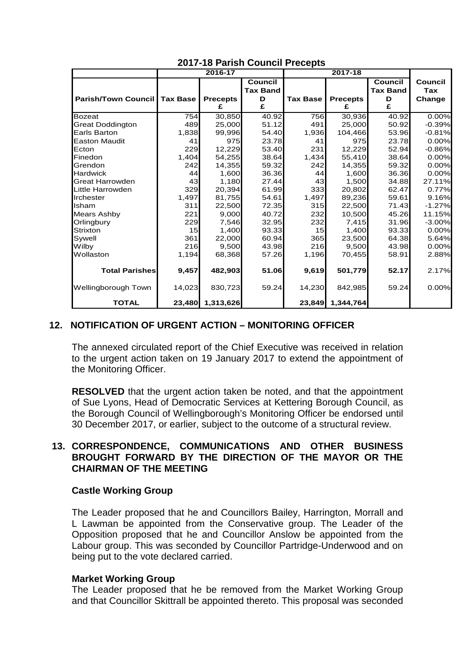|                            |                 | 2016-17          |                            |                 | 2017-18          |                            |                |
|----------------------------|-----------------|------------------|----------------------------|-----------------|------------------|----------------------------|----------------|
|                            |                 |                  | Council<br><b>Tax Band</b> |                 |                  | Council<br><b>Tax Band</b> | Council<br>Tax |
| <b>Parish/Town Council</b> | <b>Tax Base</b> | <b>Precepts</b>  | D                          | <b>Tax Base</b> | <b>Precepts</b>  | D                          | Change         |
|                            |                 | £                | £                          |                 | £                | £                          |                |
| <b>Bozeat</b>              | 754             | 30,850           | 40.92                      | 756             | 30,936           | 40.92                      | 0.00%          |
| <b>Great Doddington</b>    | 489             | 25,000           | 51.12                      | 491             | 25,000           | 50.92                      | $-0.39%$       |
| Earls Barton               | 1,838           | 99,996           | 54.40                      | 1,936           | 104,466          | 53.96                      | $-0.81%$       |
| <b>Easton Maudit</b>       | 41              | 975              | 23.78                      | 41              | 975              | 23.78                      | 0.00%          |
| Ecton                      | 229             | 12,229           | 53.40                      | 231             | 12,229           | 52.94                      | $-0.86%$       |
| Finedon                    | 1,404           | 54,255           | 38.64                      | 1,434           | 55,410           | 38.64                      | 0.00%          |
| Grendon                    | 242             | 14,355           | 59.32                      | 242             | 14,355           | 59.32                      | 0.00%          |
| <b>Hardwick</b>            | 44              | 1,600            | 36.36                      | 44              | 1,600            | 36.36                      | 0.00%          |
| <b>Great Harrowden</b>     | 43              | 1,180            | 27.44                      | 43              | 1,500            | 34.88                      | 27.11%         |
| Little Harrowden           | 329             | 20,394           | 61.99                      | 333             | 20,802           | 62.47                      | 0.77%          |
| Irchester                  | 1,497           | 81,755           | 54.61                      | 1,497           | 89,236           | 59.61                      | 9.16%          |
| Isham                      | 311             | 22,500           | 72.35                      | 315             | 22,500           | 71.43                      | $-1.27%$       |
| <b>Mears Ashby</b>         | 221             | 9,000            | 40.72                      | 232             | 10,500           | 45.26                      | 11.15%         |
| Orlingbury                 | 229             | 7,546            | 32.95                      | 232             | 7,415            | 31.96                      | $-3.00%$       |
| Strixton                   | 15              | 1,400            | 93.33                      | 15              | 1,400            | 93.33                      | 0.00%          |
| Sywell                     | 361             | 22,000           | 60.94                      | 365             | 23,500           | 64.38                      | 5.64%          |
| Wilby                      | 216             | 9,500            | 43.98                      | 216             | 9,500            | 43.98                      | 0.00%          |
| Wollaston                  | 1,194           | 68,368           | 57.26                      | 1,196           | 70,455           | 58.91                      | 2.88%          |
| <b>Total Parishes</b>      | 9,457           | 482,903          | 51.06                      | 9,619           | 501,779          | 52.17                      | 2.17%          |
| Wellingborough Town        | 14,023          | 830,723          | 59.24                      | 14,230          | 842,985          | 59.24                      | 0.00%          |
| <b>TOTAL</b>               |                 | 23,480 1,313,626 |                            |                 | 23,849 1,344,764 |                            |                |

# **2017-18 Parish Council Precepts**

# **12. NOTIFICATION OF URGENT ACTION – MONITORING OFFICER**

The annexed circulated report of the Chief Executive was received in relation to the urgent action taken on 19 January 2017 to extend the appointment of the Monitoring Officer.

**RESOLVED** that the urgent action taken be noted, and that the appointment of Sue Lyons, Head of Democratic Services at Kettering Borough Council, as the Borough Council of Wellingborough's Monitoring Officer be endorsed until 30 December 2017, or earlier, subject to the outcome of a structural review.

### **13. CORRESPONDENCE, COMMUNICATIONS AND OTHER BUSINESS BROUGHT FORWARD BY THE DIRECTION OF THE MAYOR OR THE CHAIRMAN OF THE MEETING**

#### **Castle Working Group**

The Leader proposed that he and Councillors Bailey, Harrington, Morrall and L Lawman be appointed from the Conservative group. The Leader of the Opposition proposed that he and Councillor Anslow be appointed from the Labour group. This was seconded by Councillor Partridge-Underwood and on being put to the vote declared carried.

#### **Market Working Group**

The Leader proposed that he be removed from the Market Working Group and that Councillor Skittrall be appointed thereto. This proposal was seconded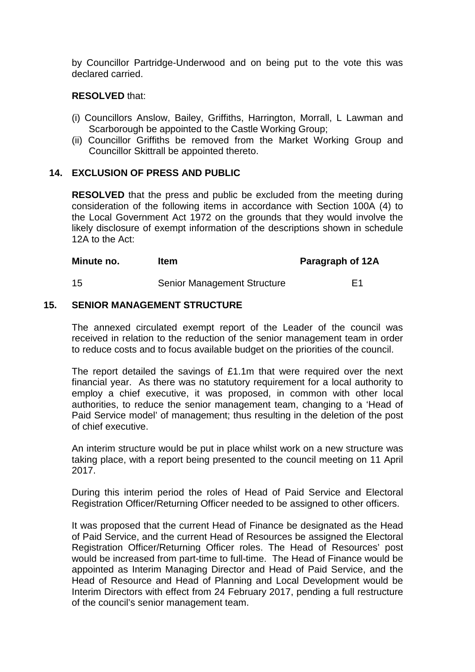by Councillor Partridge-Underwood and on being put to the vote this was declared carried.

# **RESOLVED** that:

- (i) Councillors Anslow, Bailey, Griffiths, Harrington, Morrall, L Lawman and Scarborough be appointed to the Castle Working Group;
- (ii) Councillor Griffiths be removed from the Market Working Group and Councillor Skittrall be appointed thereto.

## **14. EXCLUSION OF PRESS AND PUBLIC**

**RESOLVED** that the press and public be excluded from the meeting during consideration of the following items in accordance with Section 100A (4) to the Local Government Act 1972 on the grounds that they would involve the likely disclosure of exempt information of the descriptions shown in schedule 12A to the Act:

**Minute no.** Item **Item Paragraph of 12A** 

# 15 Senior Management Structure **E1**

#### **15. SENIOR MANAGEMENT STRUCTURE**

The annexed circulated exempt report of the Leader of the council was received in relation to the reduction of the senior management team in order to reduce costs and to focus available budget on the priorities of the council.

The report detailed the savings of £1.1m that were required over the next financial year. As there was no statutory requirement for a local authority to employ a chief executive, it was proposed, in common with other local authorities, to reduce the senior management team, changing to a 'Head of Paid Service model' of management; thus resulting in the deletion of the post of chief executive.

An interim structure would be put in place whilst work on a new structure was taking place, with a report being presented to the council meeting on 11 April 2017.

During this interim period the roles of Head of Paid Service and Electoral Registration Officer/Returning Officer needed to be assigned to other officers.

It was proposed that the current Head of Finance be designated as the Head of Paid Service, and the current Head of Resources be assigned the Electoral Registration Officer/Returning Officer roles. The Head of Resources' post would be increased from part-time to full-time. The Head of Finance would be appointed as Interim Managing Director and Head of Paid Service, and the Head of Resource and Head of Planning and Local Development would be Interim Directors with effect from 24 February 2017, pending a full restructure of the council's senior management team.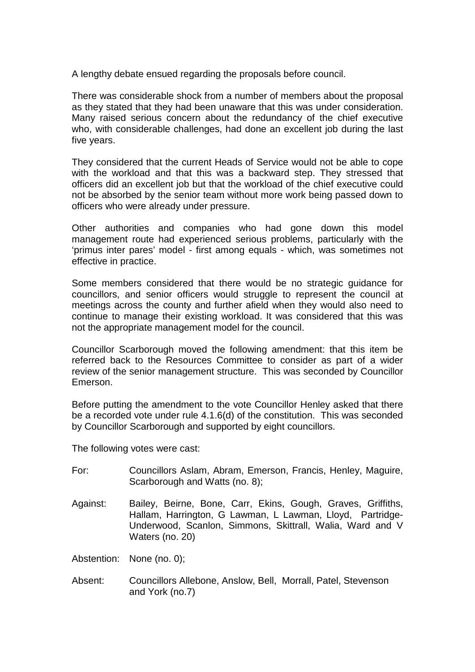A lengthy debate ensued regarding the proposals before council.

There was considerable shock from a number of members about the proposal as they stated that they had been unaware that this was under consideration. Many raised serious concern about the redundancy of the chief executive who, with considerable challenges, had done an excellent job during the last five years.

They considered that the current Heads of Service would not be able to cope with the workload and that this was a backward step. They stressed that officers did an excellent job but that the workload of the chief executive could not be absorbed by the senior team without more work being passed down to officers who were already under pressure.

Other authorities and companies who had gone down this model management route had experienced serious problems, particularly with the 'primus inter pares' model - first among equals - which, was sometimes not effective in practice.

Some members considered that there would be no strategic guidance for councillors, and senior officers would struggle to represent the council at meetings across the county and further afield when they would also need to continue to manage their existing workload. It was considered that this was not the appropriate management model for the council.

Councillor Scarborough moved the following amendment: that this item be referred back to the Resources Committee to consider as part of a wider review of the senior management structure. This was seconded by Councillor Emerson.

Before putting the amendment to the vote Councillor Henley asked that there be a recorded vote under rule 4.1.6(d) of the constitution. This was seconded by Councillor Scarborough and supported by eight councillors.

The following votes were cast:

| For:     | Councillors Aslam, Abram, Emerson, Francis, Henley, Maguire,<br>Scarborough and Watts (no. 8);                                                                                                                                                                                                              |
|----------|-------------------------------------------------------------------------------------------------------------------------------------------------------------------------------------------------------------------------------------------------------------------------------------------------------------|
| Against: | Bailey, Beirne, Bone, Carr, Ekins, Gough, Graves, Griffiths,<br>Hallam, Harrington, G Lawman, L Lawman, Lloyd, Partridge-<br>Underwood, Scanlon, Simmons, Skittrall, Walia, Ward and V<br>Waters (no. 20)                                                                                                   |
|          | $\mathbf{A}$ , $\mathbf{A}$ , $\mathbf{A}$ , $\mathbf{A}$ , $\mathbf{A}$ , $\mathbf{A}$ , $\mathbf{A}$ , $\mathbf{A}$ , $\mathbf{A}$ , $\mathbf{A}$ , $\mathbf{A}$ , $\mathbf{A}$ , $\mathbf{A}$ , $\mathbf{A}$ , $\mathbf{A}$ , $\mathbf{A}$ , $\mathbf{A}$ , $\mathbf{A}$ , $\mathbf{A}$ , $\mathbf{A}$ , |

Abstention: None (no. 0);

Absent: Councillors Allebone, Anslow, Bell, Morrall, Patel, Stevenson and York (no.7)